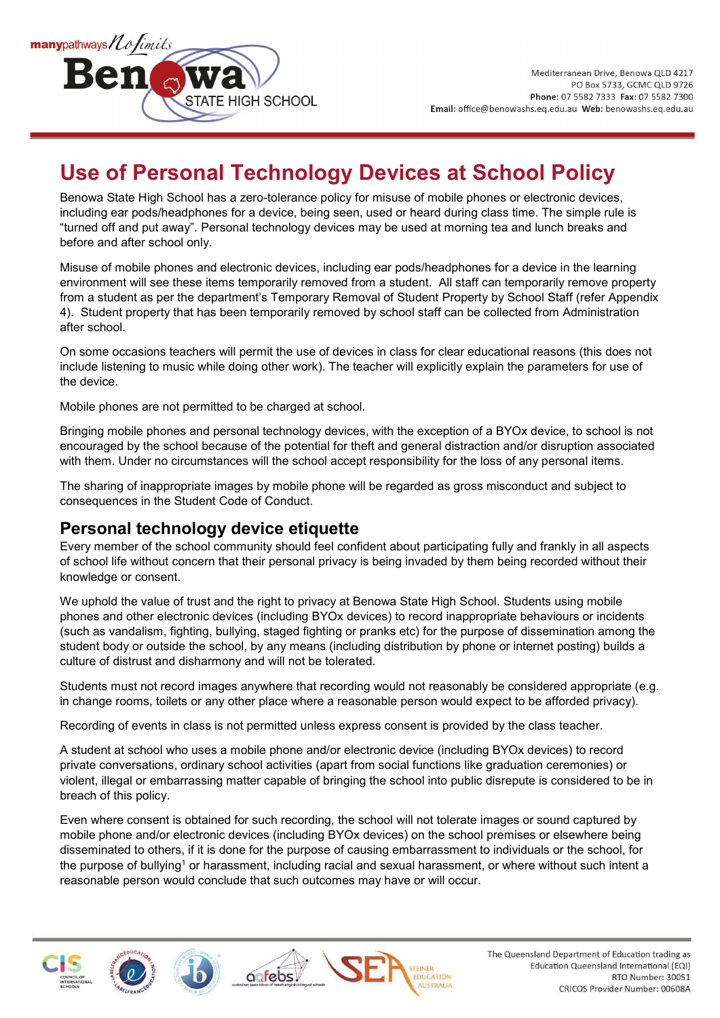

## **Use of Personal Technology Devices at School Policy**

Benowa State High School has a zero-tolerance policy for misuse of mobile phones or electronic devices, including ear pods/headphones for a device, being seen, used or heard during class time. The simple rule is "turned off and put away". Personal technology devices may be used at morning tea and lunch breaks and before and after school only.

Misuse of mobile phones and electronic devices, including ear pods/headphones for a device in the learning environment will see these items temporarily removed from a student. All staff can temporarily remove property from a student as per the department's Temporary Removal of Student Property by School Staff (refer Appendix 4). Student property that has been temporarily removed by school staff can be collected from Administration after school.

On some occasions teachers will permit the use of devices in class for clear educational reasons (this does not include listening to music while doing other work). The teacher will explicitly explain the parameters for use of the device.

Mobile phones are not permitted to be charged at school.

Bringing mobile phones and personal technology devices, with the exception of a BYOx device, to school is not encouraged by the school because of the potential for theft and general distraction and/or disruption associated with them. Under no circumstances will the school accept responsibility for the loss of any personal items.

The sharing of inappropriate images by mobile phone will be regarded as gross misconduct and subject to consequences in the Student Code of Conduct.

## **Personal technology device etiquette**

Every member of the school community should feel confident about participating fully and frankly in all aspects of school life without concern that their personal privacy is being invaded by them being recorded without their knowledge or consent.

We uphold the value of trust and the right to privacy at Benowa State High School. Students using mobile phones and other electronic devices (including BYOx devices) to record inappropriate behaviours or incidents (such as vandalism, fighting, bullying, staged fighting or pranks etc) for the purpose of dissemination among the student body or outside the school, by any means (including distribution by phone or internet posting) builds a culture of distrust and disharmony and will not be tolerated.

Students must not record images anywhere that recording would not reasonably be considered appropriate (e.g. in change rooms, toilets or any other place where a reasonable person would expect to be afforded privacy).

Recording of events in class is not permitted unless express consent is provided by the class teacher.

A student at school who uses a mobile phone and/or electronic device (including BYOx devices) to record private conversations, ordinary school activities (apart from social functions like graduation ceremonies) or violent, illegal or embarrassing matter capable of bringing the school into public disrepute is considered to be in breach of this policy.

Even where consent is obtained for such recording, the school will not tolerate images or sound captured by mobile phone and/or electronic devices (including BYOx devices) on the school premises or elsewhere being disseminated to others, if it is done for the purpose of causing embarrassment to individuals or the school, for the purpose of bullying<sup>1</sup> or harassment, including racial and sexual harassment, or where without such intent a reasonable person would conclude that such outcomes may have or will occur.

oofebs